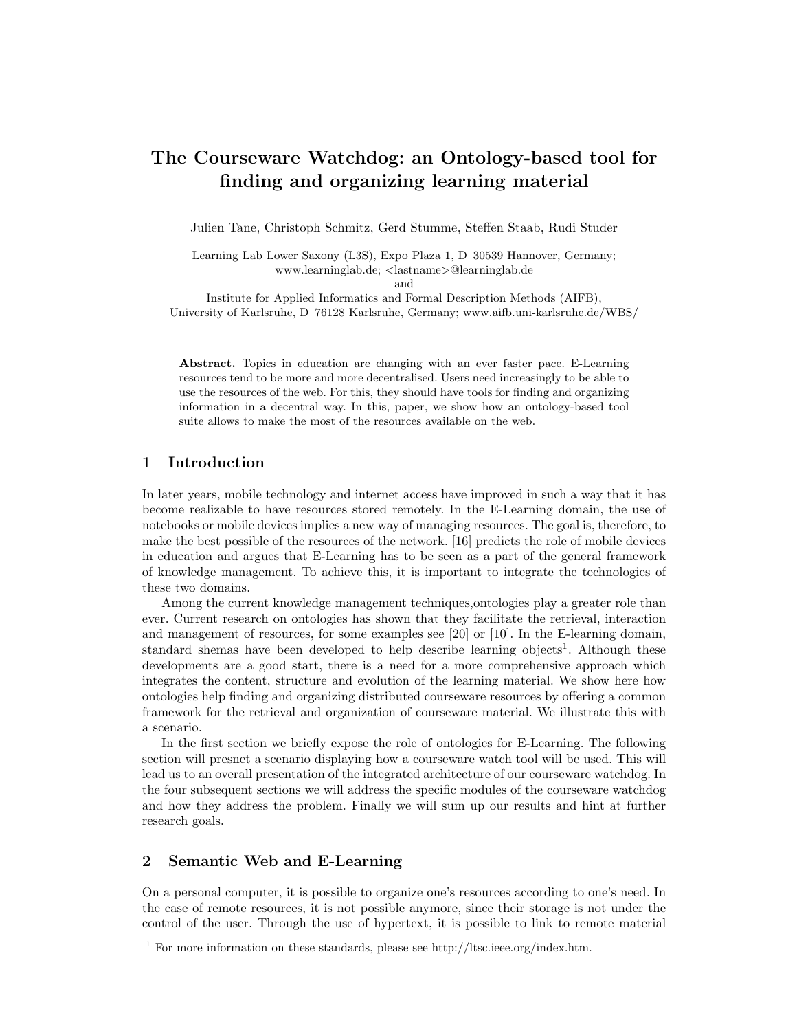# The Courseware Watchdog: an Ontology-based tool for finding and organizing learning material

Julien Tane, Christoph Schmitz, Gerd Stumme, Steffen Staab, Rudi Studer

Learning Lab Lower Saxony (L3S), Expo Plaza 1, D–30539 Hannover, Germany; www.learninglab.de; <lastname>@learninglab.de and

Institute for Applied Informatics and Formal Description Methods (AIFB), University of Karlsruhe, D–76128 Karlsruhe, Germany; www.aifb.uni-karlsruhe.de/WBS/

Abstract. Topics in education are changing with an ever faster pace. E-Learning resources tend to be more and more decentralised. Users need increasingly to be able to use the resources of the web. For this, they should have tools for finding and organizing information in a decentral way. In this, paper, we show how an ontology-based tool suite allows to make the most of the resources available on the web.

#### 1 Introduction

In later years, mobile technology and internet access have improved in such a way that it has become realizable to have resources stored remotely. In the E-Learning domain, the use of notebooks or mobile devices implies a new way of managing resources. The goal is, therefore, to make the best possible of the resources of the network. [16] predicts the role of mobile devices in education and argues that E-Learning has to be seen as a part of the general framework of knowledge management. To achieve this, it is important to integrate the technologies of these two domains.

Among the current knowledge management techniques,ontologies play a greater role than ever. Current research on ontologies has shown that they facilitate the retrieval, interaction and management of resources, for some examples see [20] or [10]. In the E-learning domain, standard shemas have been developed to help describe learning objects<sup>1</sup>. Although these developments are a good start, there is a need for a more comprehensive approach which integrates the content, structure and evolution of the learning material. We show here how ontologies help finding and organizing distributed courseware resources by offering a common framework for the retrieval and organization of courseware material. We illustrate this with a scenario.

In the first section we briefly expose the role of ontologies for E-Learning. The following section will presnet a scenario displaying how a courseware watch tool will be used. This will lead us to an overall presentation of the integrated architecture of our courseware watchdog. In the four subsequent sections we will address the specific modules of the courseware watchdog and how they address the problem. Finally we will sum up our results and hint at further research goals.

## 2 Semantic Web and E-Learning

On a personal computer, it is possible to organize one's resources according to one's need. In the case of remote resources, it is not possible anymore, since their storage is not under the control of the user. Through the use of hypertext, it is possible to link to remote material

<sup>&</sup>lt;sup>1</sup> For more information on these standards, please see http://ltsc.ieee.org/index.htm.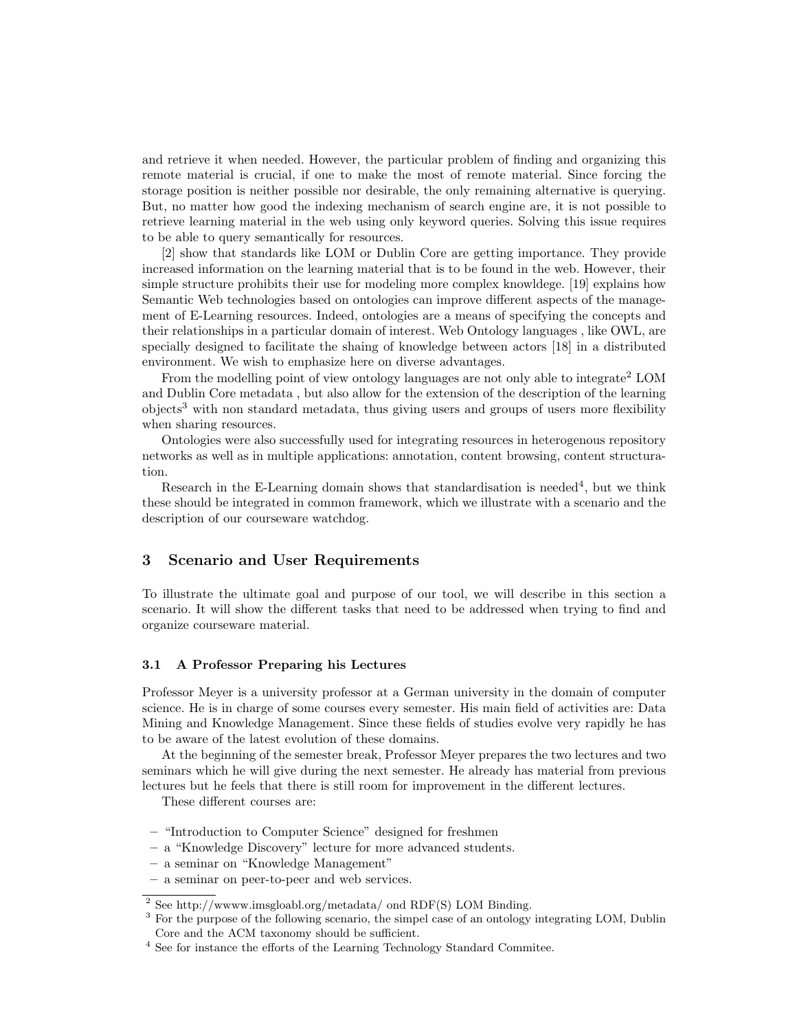and retrieve it when needed. However, the particular problem of finding and organizing this remote material is crucial, if one to make the most of remote material. Since forcing the storage position is neither possible nor desirable, the only remaining alternative is querying. But, no matter how good the indexing mechanism of search engine are, it is not possible to retrieve learning material in the web using only keyword queries. Solving this issue requires to be able to query semantically for resources.

[2] show that standards like LOM or Dublin Core are getting importance. They provide increased information on the learning material that is to be found in the web. However, their simple structure prohibits their use for modeling more complex knowldege. [19] explains how Semantic Web technologies based on ontologies can improve different aspects of the management of E-Learning resources. Indeed, ontologies are a means of specifying the concepts and their relationships in a particular domain of interest. Web Ontology languages , like OWL, are specially designed to facilitate the shaing of knowledge between actors [18] in a distributed environment. We wish to emphasize here on diverse advantages.

From the modelling point of view ontology languages are not only able to integrate<sup>2</sup> LOM and Dublin Core metadata , but also allow for the extension of the description of the learning  $\omega$ bjects<sup>3</sup> with non standard metadata, thus giving users and groups of users more flexibility when sharing resources.

Ontologies were also successfully used for integrating resources in heterogenous repository networks as well as in multiple applications: annotation, content browsing, content structuration.

Research in the E-Learning domain shows that standardisation is needed<sup>4</sup>, but we think these should be integrated in common framework, which we illustrate with a scenario and the description of our courseware watchdog.

#### 3 Scenario and User Requirements

To illustrate the ultimate goal and purpose of our tool, we will describe in this section a scenario. It will show the different tasks that need to be addressed when trying to find and organize courseware material.

#### 3.1 A Professor Preparing his Lectures

Professor Meyer is a university professor at a German university in the domain of computer science. He is in charge of some courses every semester. His main field of activities are: Data Mining and Knowledge Management. Since these fields of studies evolve very rapidly he has to be aware of the latest evolution of these domains.

At the beginning of the semester break, Professor Meyer prepares the two lectures and two seminars which he will give during the next semester. He already has material from previous lectures but he feels that there is still room for improvement in the different lectures.

These different courses are:

- "Introduction to Computer Science" designed for freshmen
- a "Knowledge Discovery" lecture for more advanced students.
- a seminar on "Knowledge Management"
- a seminar on peer-to-peer and web services.

<sup>2</sup> See http://wwww.imsgloabl.org/metadata/ ond RDF(S) LOM Binding.

<sup>&</sup>lt;sup>3</sup> For the purpose of the following scenario, the simpel case of an ontology integrating LOM, Dublin

Core and the ACM taxonomy should be sufficient.

 $^4$  See for instance the efforts of the Learning Technology Standard Commitee.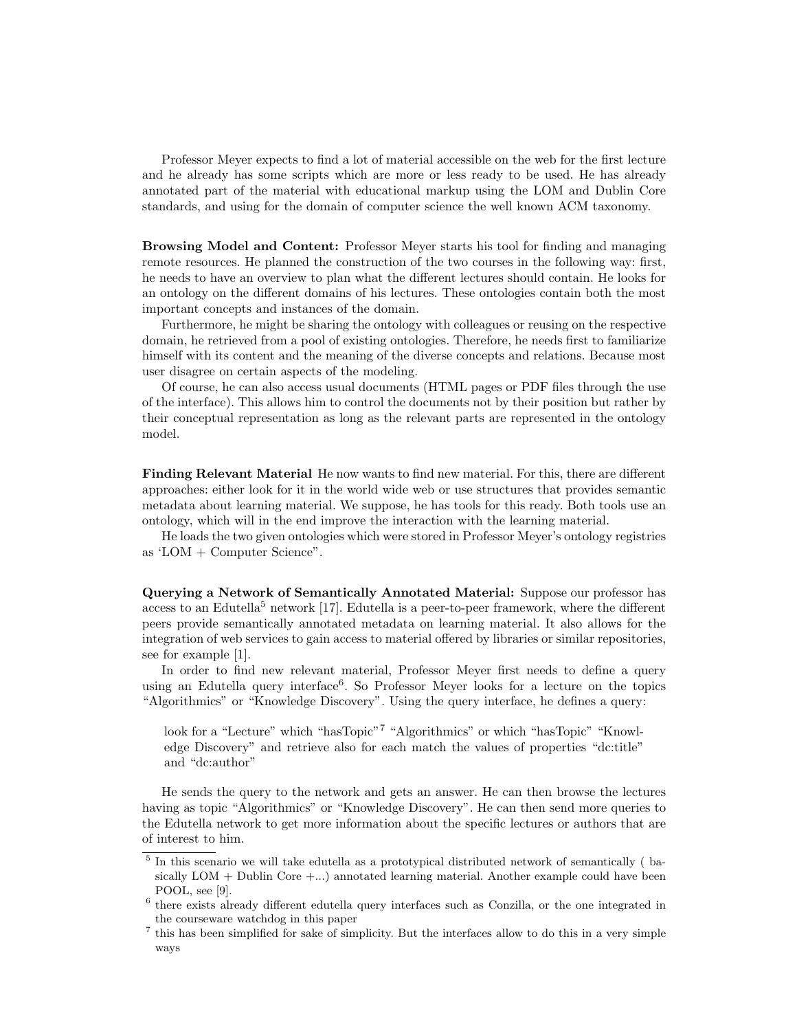Professor Meyer expects to find a lot of material accessible on the web for the first lecture and he already has some scripts which are more or less ready to be used. He has already annotated part of the material with educational markup using the LOM and Dublin Core standards, and using for the domain of computer science the well known ACM taxonomy.

Browsing Model and Content: Professor Meyer starts his tool for finding and managing remote resources. He planned the construction of the two courses in the following way: first, he needs to have an overview to plan what the different lectures should contain. He looks for an ontology on the different domains of his lectures. These ontologies contain both the most important concepts and instances of the domain.

Furthermore, he might be sharing the ontology with colleagues or reusing on the respective domain, he retrieved from a pool of existing ontologies. Therefore, he needs first to familiarize himself with its content and the meaning of the diverse concepts and relations. Because most user disagree on certain aspects of the modeling.

Of course, he can also access usual documents (HTML pages or PDF files through the use of the interface). This allows him to control the documents not by their position but rather by their conceptual representation as long as the relevant parts are represented in the ontology model.

Finding Relevant Material He now wants to find new material. For this, there are different approaches: either look for it in the world wide web or use structures that provides semantic metadata about learning material. We suppose, he has tools for this ready. Both tools use an ontology, which will in the end improve the interaction with the learning material.

He loads the two given ontologies which were stored in Professor Meyer's ontology registries as 'LOM + Computer Science".

Querying a Network of Semantically Annotated Material: Suppose our professor has access to an Edutella<sup>5</sup> network  $[17]$ . Edutella is a peer-to-peer framework, where the different peers provide semantically annotated metadata on learning material. It also allows for the integration of web services to gain access to material offered by libraries or similar repositories, see for example [1].

In order to find new relevant material, Professor Meyer first needs to define a query using an Edutella query interface<sup>6</sup>. So Professor Meyer looks for a lecture on the topics "Algorithmics" or "Knowledge Discovery". Using the query interface, he defines a query:

look for a "Lecture" which "hasTopic"<sup>7</sup> "Algorithmics" or which "hasTopic" "Knowledge Discovery" and retrieve also for each match the values of properties "dc:title" and "dc:author"

He sends the query to the network and gets an answer. He can then browse the lectures having as topic "Algorithmics" or "Knowledge Discovery". He can then send more queries to the Edutella network to get more information about the specific lectures or authors that are of interest to him.

<sup>&</sup>lt;sup>5</sup> In this scenario we will take edutella as a prototypical distributed network of semantically (basically  $LOM + Dublin Core + \ldots$ ) annotated learning material. Another example could have been POOL, see [9].

<sup>&</sup>lt;sup>6</sup> there exists already different edutella query interfaces such as Conzilla, or the one integrated in the courseware watchdog in this paper

<sup>7</sup> this has been simplified for sake of simplicity. But the interfaces allow to do this in a very simple ways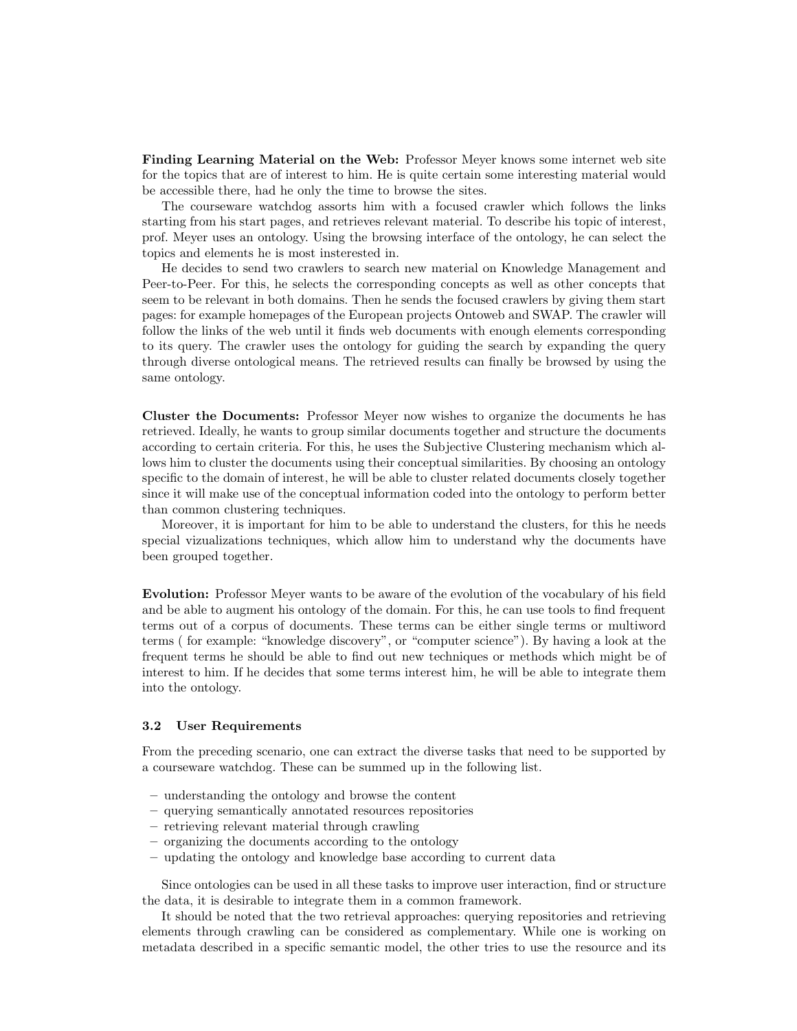Finding Learning Material on the Web: Professor Meyer knows some internet web site for the topics that are of interest to him. He is quite certain some interesting material would be accessible there, had he only the time to browse the sites.

The courseware watchdog assorts him with a focused crawler which follows the links starting from his start pages, and retrieves relevant material. To describe his topic of interest, prof. Meyer uses an ontology. Using the browsing interface of the ontology, he can select the topics and elements he is most insterested in.

He decides to send two crawlers to search new material on Knowledge Management and Peer-to-Peer. For this, he selects the corresponding concepts as well as other concepts that seem to be relevant in both domains. Then he sends the focused crawlers by giving them start pages: for example homepages of the European projects Ontoweb and SWAP. The crawler will follow the links of the web until it finds web documents with enough elements corresponding to its query. The crawler uses the ontology for guiding the search by expanding the query through diverse ontological means. The retrieved results can finally be browsed by using the same ontology.

Cluster the Documents: Professor Meyer now wishes to organize the documents he has retrieved. Ideally, he wants to group similar documents together and structure the documents according to certain criteria. For this, he uses the Subjective Clustering mechanism which allows him to cluster the documents using their conceptual similarities. By choosing an ontology specific to the domain of interest, he will be able to cluster related documents closely together since it will make use of the conceptual information coded into the ontology to perform better than common clustering techniques.

Moreover, it is important for him to be able to understand the clusters, for this he needs special vizualizations techniques, which allow him to understand why the documents have been grouped together.

Evolution: Professor Meyer wants to be aware of the evolution of the vocabulary of his field and be able to augment his ontology of the domain. For this, he can use tools to find frequent terms out of a corpus of documents. These terms can be either single terms or multiword terms ( for example: "knowledge discovery", or "computer science"). By having a look at the frequent terms he should be able to find out new techniques or methods which might be of interest to him. If he decides that some terms interest him, he will be able to integrate them into the ontology.

#### 3.2 User Requirements

From the preceding scenario, one can extract the diverse tasks that need to be supported by a courseware watchdog. These can be summed up in the following list.

- understanding the ontology and browse the content
- querying semantically annotated resources repositories
- retrieving relevant material through crawling
- organizing the documents according to the ontology
- updating the ontology and knowledge base according to current data

Since ontologies can be used in all these tasks to improve user interaction, find or structure the data, it is desirable to integrate them in a common framework.

It should be noted that the two retrieval approaches: querying repositories and retrieving elements through crawling can be considered as complementary. While one is working on metadata described in a specific semantic model, the other tries to use the resource and its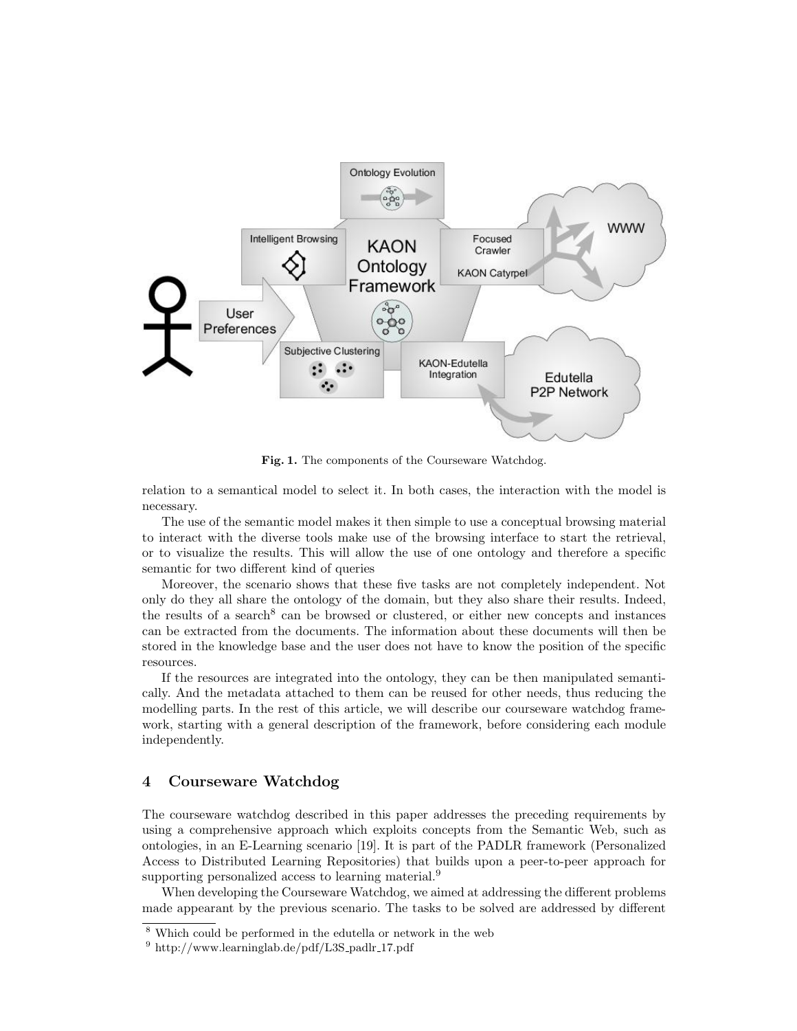

Fig. 1. The components of the Courseware Watchdog.

relation to a semantical model to select it. In both cases, the interaction with the model is necessary.

The use of the semantic model makes it then simple to use a conceptual browsing material to interact with the diverse tools make use of the browsing interface to start the retrieval, or to visualize the results. This will allow the use of one ontology and therefore a specific semantic for two different kind of queries

Moreover, the scenario shows that these five tasks are not completely independent. Not only do they all share the ontology of the domain, but they also share their results. Indeed, the results of a search<sup>8</sup> can be browsed or clustered, or either new concepts and instances can be extracted from the documents. The information about these documents will then be stored in the knowledge base and the user does not have to know the position of the specific resources.

If the resources are integrated into the ontology, they can be then manipulated semantically. And the metadata attached to them can be reused for other needs, thus reducing the modelling parts. In the rest of this article, we will describe our courseware watchdog framework, starting with a general description of the framework, before considering each module independently.

## 4 Courseware Watchdog

The courseware watchdog described in this paper addresses the preceding requirements by using a comprehensive approach which exploits concepts from the Semantic Web, such as ontologies, in an E-Learning scenario [19]. It is part of the PADLR framework (Personalized Access to Distributed Learning Repositories) that builds upon a peer-to-peer approach for supporting personalized access to learning material.<sup>9</sup>

When developing the Courseware Watchdog, we aimed at addressing the different problems made appearant by the previous scenario. The tasks to be solved are addressed by different

<sup>8</sup> Which could be performed in the edutella or network in the web

 $9$  http://www.learninglab.de/pdf/L3S\_padlr\_17.pdf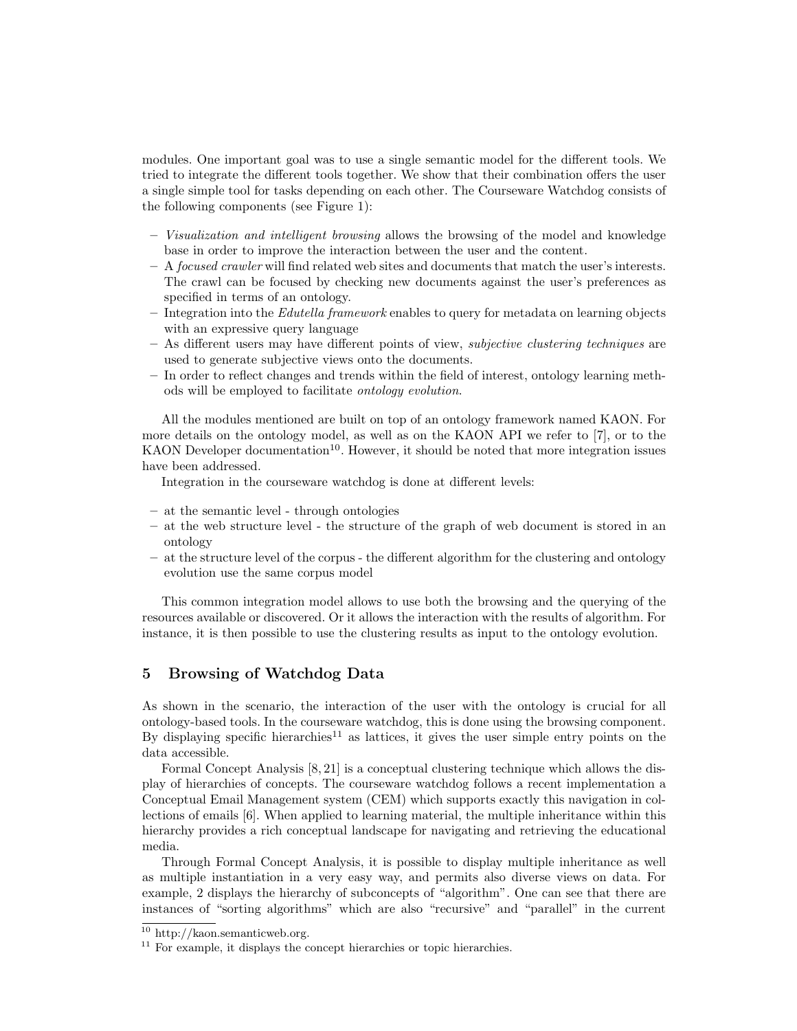modules. One important goal was to use a single semantic model for the different tools. We tried to integrate the different tools together. We show that their combination offers the user a single simple tool for tasks depending on each other. The Courseware Watchdog consists of the following components (see Figure 1):

- Visualization and intelligent browsing allows the browsing of the model and knowledge base in order to improve the interaction between the user and the content.
- $-$  A *focused crawler* will find related web sites and documents that match the user's interests. The crawl can be focused by checking new documents against the user's preferences as specified in terms of an ontology.
- $-$  Integration into the *Edutella framework* enables to query for metadata on learning objects with an expressive query language
- As different users may have different points of view, subjective clustering techniques are used to generate subjective views onto the documents.
- In order to reflect changes and trends within the field of interest, ontology learning methods will be employed to facilitate ontology evolution.

All the modules mentioned are built on top of an ontology framework named KAON. For more details on the ontology model, as well as on the KAON API we refer to [7], or to the KAON Developer documentation<sup>10</sup>. However, it should be noted that more integration issues have been addressed.

Integration in the courseware watchdog is done at different levels:

- at the semantic level through ontologies
- at the web structure level the structure of the graph of web document is stored in an ontology
- at the structure level of the corpus the different algorithm for the clustering and ontology evolution use the same corpus model

This common integration model allows to use both the browsing and the querying of the resources available or discovered. Or it allows the interaction with the results of algorithm. For instance, it is then possible to use the clustering results as input to the ontology evolution.

## 5 Browsing of Watchdog Data

As shown in the scenario, the interaction of the user with the ontology is crucial for all ontology-based tools. In the courseware watchdog, this is done using the browsing component. By displaying specific hierarchies<sup>11</sup> as lattices, it gives the user simple entry points on the data accessible.

Formal Concept Analysis [8, 21] is a conceptual clustering technique which allows the display of hierarchies of concepts. The courseware watchdog follows a recent implementation a Conceptual Email Management system (CEM) which supports exactly this navigation in collections of emails [6]. When applied to learning material, the multiple inheritance within this hierarchy provides a rich conceptual landscape for navigating and retrieving the educational media.

Through Formal Concept Analysis, it is possible to display multiple inheritance as well as multiple instantiation in a very easy way, and permits also diverse views on data. For example, 2 displays the hierarchy of subconcepts of "algorithm". One can see that there are instances of "sorting algorithms" which are also "recursive" and "parallel" in the current

<sup>10</sup> http://kaon.semanticweb.org.

 $11$  For example, it displays the concept hierarchies or topic hierarchies.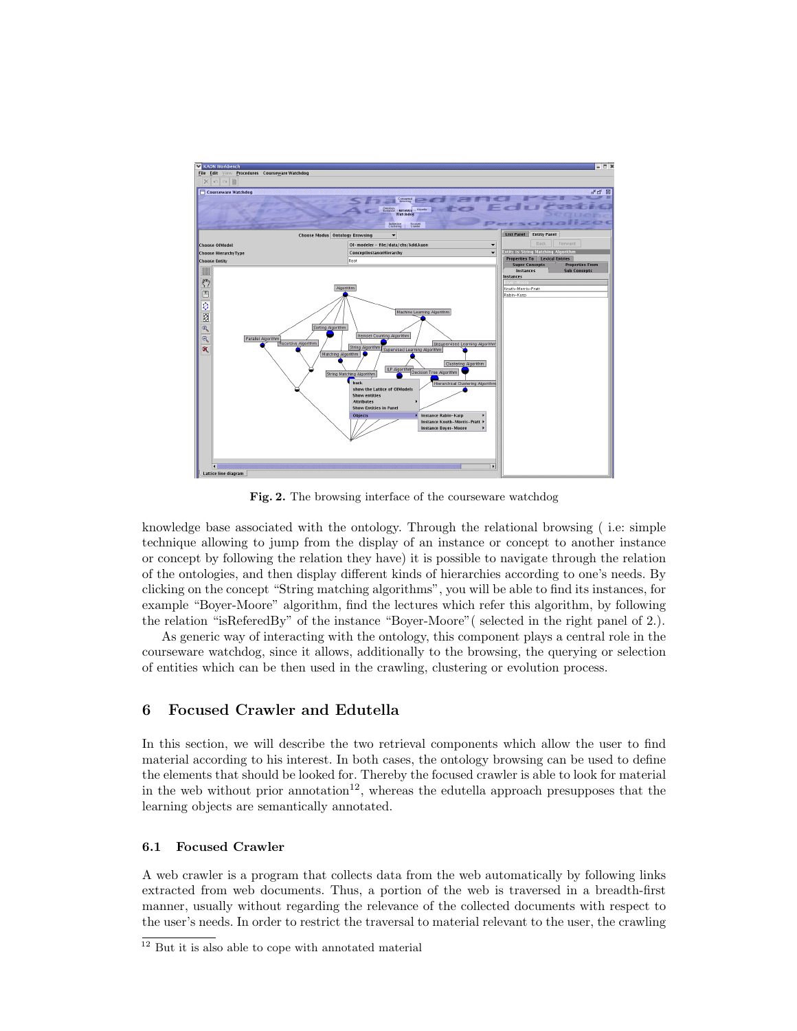

Fig. 2. The browsing interface of the courseware watchdog

knowledge base associated with the ontology. Through the relational browsing ( i.e: simple technique allowing to jump from the display of an instance or concept to another instance or concept by following the relation they have) it is possible to navigate through the relation of the ontologies, and then display different kinds of hierarchies according to one's needs. By clicking on the concept "String matching algorithms", you will be able to find its instances, for example "Boyer-Moore" algorithm, find the lectures which refer this algorithm, by following the relation "isReferedBy" of the instance "Boyer-Moore"( selected in the right panel of 2.).

As generic way of interacting with the ontology, this component plays a central role in the courseware watchdog, since it allows, additionally to the browsing, the querying or selection of entities which can be then used in the crawling, clustering or evolution process.

## 6 Focused Crawler and Edutella

In this section, we will describe the two retrieval components which allow the user to find material according to his interest. In both cases, the ontology browsing can be used to define the elements that should be looked for. Thereby the focused crawler is able to look for material in the web without prior annotation<sup>12</sup>, whereas the edutella approach presupposes that the learning objects are semantically annotated.

#### 6.1 Focused Crawler

A web crawler is a program that collects data from the web automatically by following links extracted from web documents. Thus, a portion of the web is traversed in a breadth-first manner, usually without regarding the relevance of the collected documents with respect to the user's needs. In order to restrict the traversal to material relevant to the user, the crawling

<sup>12</sup> But it is also able to cope with annotated material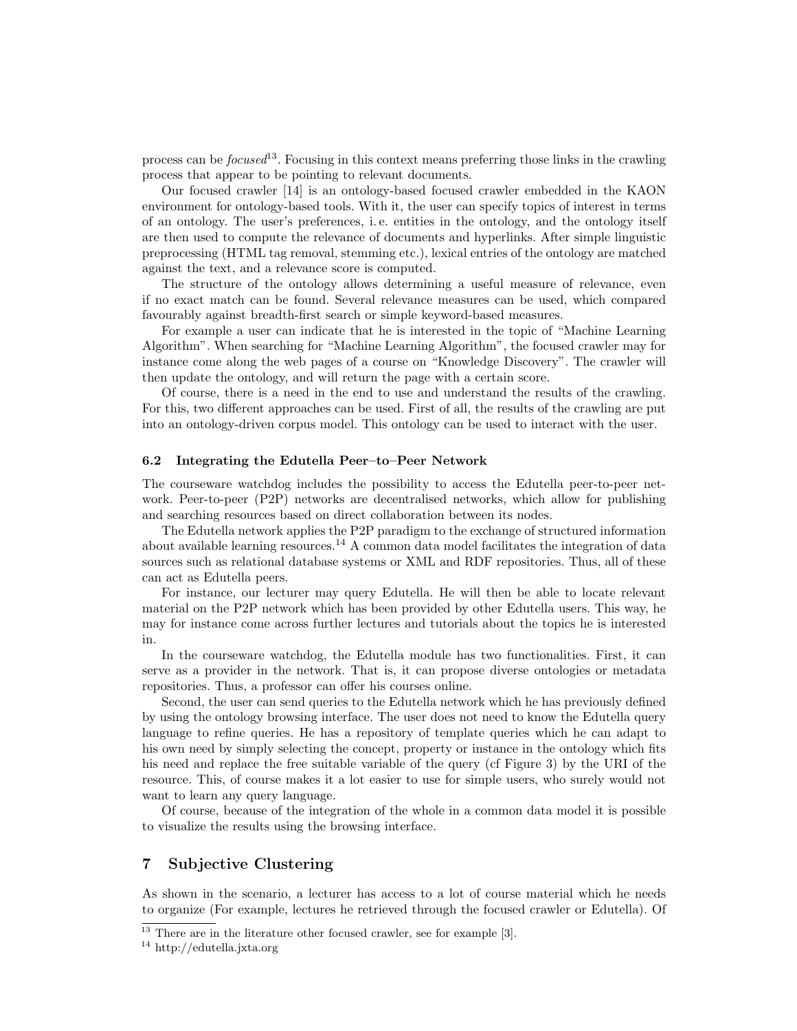process can be *focused*<sup>13</sup>. Focusing in this context means preferring those links in the crawling process that appear to be pointing to relevant documents.

Our focused crawler [14] is an ontology-based focused crawler embedded in the KAON environment for ontology-based tools. With it, the user can specify topics of interest in terms of an ontology. The user's preferences, i. e. entities in the ontology, and the ontology itself are then used to compute the relevance of documents and hyperlinks. After simple linguistic preprocessing (HTML tag removal, stemming etc.), lexical entries of the ontology are matched against the text, and a relevance score is computed.

The structure of the ontology allows determining a useful measure of relevance, even if no exact match can be found. Several relevance measures can be used, which compared favourably against breadth-first search or simple keyword-based measures.

For example a user can indicate that he is interested in the topic of "Machine Learning Algorithm". When searching for "Machine Learning Algorithm", the focused crawler may for instance come along the web pages of a course on "Knowledge Discovery". The crawler will then update the ontology, and will return the page with a certain score.

Of course, there is a need in the end to use and understand the results of the crawling. For this, two different approaches can be used. First of all, the results of the crawling are put into an ontology-driven corpus model. This ontology can be used to interact with the user.

#### 6.2 Integrating the Edutella Peer–to–Peer Network

The courseware watchdog includes the possibility to access the Edutella peer-to-peer network. Peer-to-peer (P2P) networks are decentralised networks, which allow for publishing and searching resources based on direct collaboration between its nodes.

The Edutella network applies the P2P paradigm to the exchange of structured information about available learning resources.<sup>14</sup> A common data model facilitates the integration of data sources such as relational database systems or XML and RDF repositories. Thus, all of these can act as Edutella peers.

For instance, our lecturer may query Edutella. He will then be able to locate relevant material on the P2P network which has been provided by other Edutella users. This way, he may for instance come across further lectures and tutorials about the topics he is interested in.

In the courseware watchdog, the Edutella module has two functionalities. First, it can serve as a provider in the network. That is, it can propose diverse ontologies or metadata repositories. Thus, a professor can offer his courses online.

Second, the user can send queries to the Edutella network which he has previously defined by using the ontology browsing interface. The user does not need to know the Edutella query language to refine queries. He has a repository of template queries which he can adapt to his own need by simply selecting the concept, property or instance in the ontology which fits his need and replace the free suitable variable of the query (cf Figure 3) by the URI of the resource. This, of course makes it a lot easier to use for simple users, who surely would not want to learn any query language.

Of course, because of the integration of the whole in a common data model it is possible to visualize the results using the browsing interface.

## 7 Subjective Clustering

As shown in the scenario, a lecturer has access to a lot of course material which he needs to organize (For example, lectures he retrieved through the focused crawler or Edutella). Of

 $\frac{13}{13}$  There are in the literature other focused crawler, see for example [3].

<sup>14</sup> http://edutella.jxta.org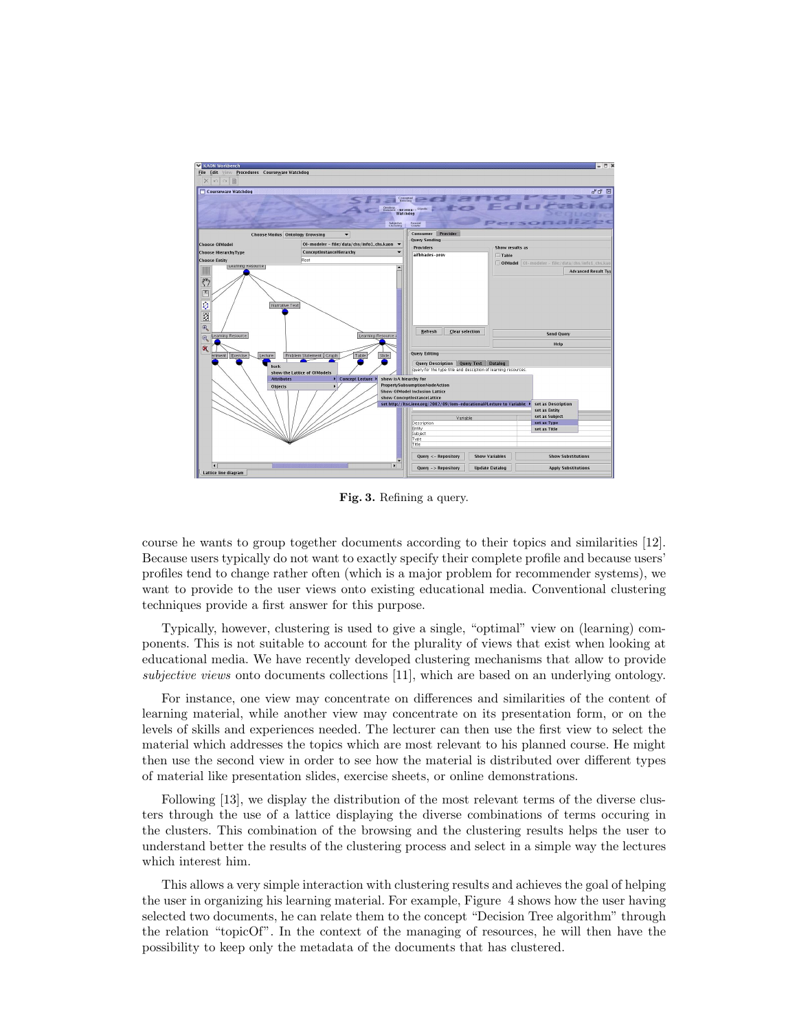

Fig. 3. Refining a query.

course he wants to group together documents according to their topics and similarities [12]. Because users typically do not want to exactly specify their complete profile and because users' profiles tend to change rather often (which is a major problem for recommender systems), we want to provide to the user views onto existing educational media. Conventional clustering techniques provide a first answer for this purpose.

Typically, however, clustering is used to give a single, "optimal" view on (learning) components. This is not suitable to account for the plurality of views that exist when looking at educational media. We have recently developed clustering mechanisms that allow to provide subjective views onto documents collections [11], which are based on an underlying ontology.

For instance, one view may concentrate on differences and similarities of the content of learning material, while another view may concentrate on its presentation form, or on the levels of skills and experiences needed. The lecturer can then use the first view to select the material which addresses the topics which are most relevant to his planned course. He might then use the second view in order to see how the material is distributed over different types of material like presentation slides, exercise sheets, or online demonstrations.

Following [13], we display the distribution of the most relevant terms of the diverse clusters through the use of a lattice displaying the diverse combinations of terms occuring in the clusters. This combination of the browsing and the clustering results helps the user to understand better the results of the clustering process and select in a simple way the lectures which interest him.

This allows a very simple interaction with clustering results and achieves the goal of helping the user in organizing his learning material. For example, Figure 4 shows how the user having selected two documents, he can relate them to the concept "Decision Tree algorithm" through the relation "topicOf". In the context of the managing of resources, he will then have the possibility to keep only the metadata of the documents that has clustered.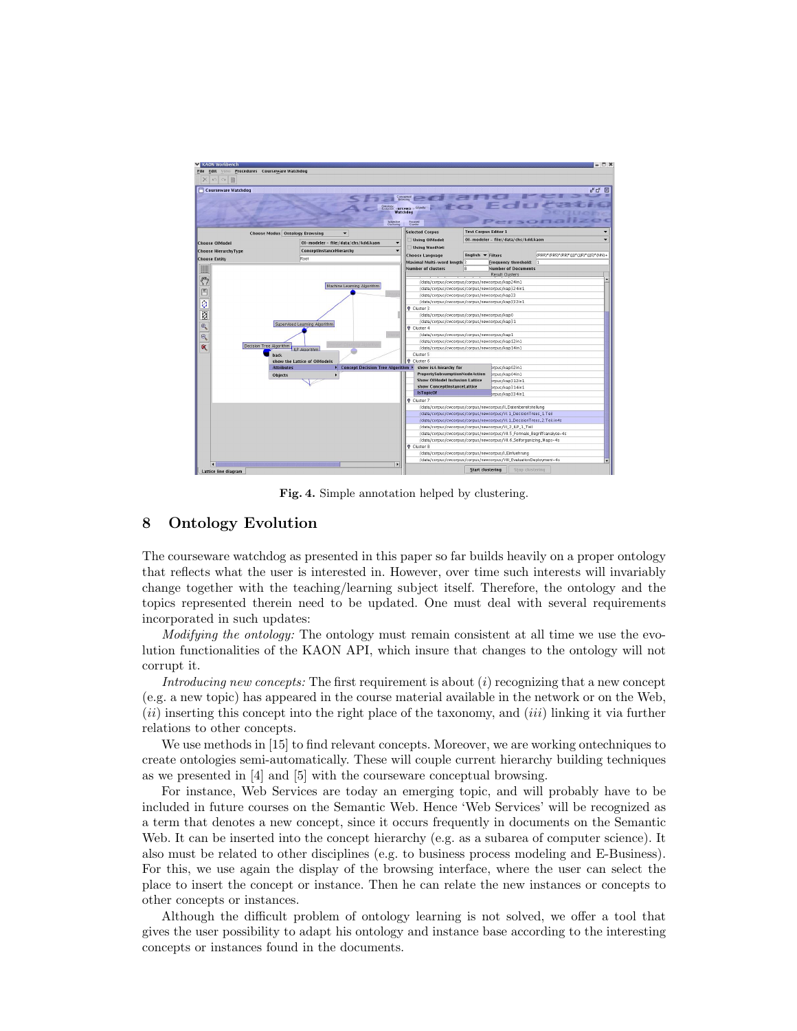

Fig. 4. Simple annotation helped by clustering.

## 8 Ontology Evolution

The courseware watchdog as presented in this paper so far builds heavily on a proper ontology that reflects what the user is interested in. However, over time such interests will invariably change together with the teaching/learning subject itself. Therefore, the ontology and the topics represented therein need to be updated. One must deal with several requirements incorporated in such updates:

Modifying the ontology: The ontology must remain consistent at all time we use the evolution functionalities of the KAON API, which insure that changes to the ontology will not corrupt it.

Introducing new concepts: The first requirement is about  $(i)$  recognizing that a new concept (e.g. a new topic) has appeared in the course material available in the network or on the Web,  $(ii)$  inserting this concept into the right place of the taxonomy, and  $(iii)$  linking it via further relations to other concepts.

We use methods in [15] to find relevant concepts. Moreover, we are working ontechniques to create ontologies semi-automatically. These will couple current hierarchy building techniques as we presented in [4] and [5] with the courseware conceptual browsing.

For instance, Web Services are today an emerging topic, and will probably have to be included in future courses on the Semantic Web. Hence 'Web Services' will be recognized as a term that denotes a new concept, since it occurs frequently in documents on the Semantic Web. It can be inserted into the concept hierarchy (e.g. as a subarea of computer science). It also must be related to other disciplines (e.g. to business process modeling and E-Business). For this, we use again the display of the browsing interface, where the user can select the place to insert the concept or instance. Then he can relate the new instances or concepts to other concepts or instances.

Although the difficult problem of ontology learning is not solved, we offer a tool that gives the user possibility to adapt his ontology and instance base according to the interesting concepts or instances found in the documents.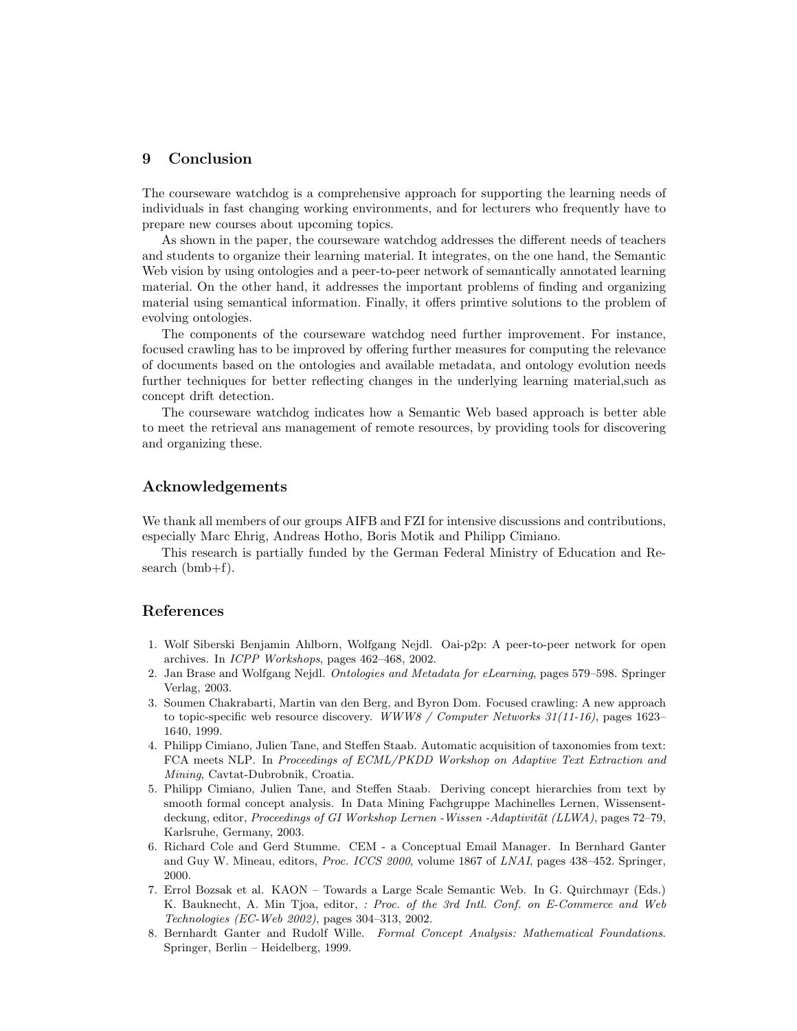# 9 Conclusion

The courseware watchdog is a comprehensive approach for supporting the learning needs of individuals in fast changing working environments, and for lecturers who frequently have to prepare new courses about upcoming topics.

As shown in the paper, the courseware watchdog addresses the different needs of teachers and students to organize their learning material. It integrates, on the one hand, the Semantic Web vision by using ontologies and a peer-to-peer network of semantically annotated learning material. On the other hand, it addresses the important problems of finding and organizing material using semantical information. Finally, it offers primtive solutions to the problem of evolving ontologies.

The components of the courseware watchdog need further improvement. For instance, focused crawling has to be improved by offering further measures for computing the relevance of documents based on the ontologies and available metadata, and ontology evolution needs further techniques for better reflecting changes in the underlying learning material,such as concept drift detection.

The courseware watchdog indicates how a Semantic Web based approach is better able to meet the retrieval ans management of remote resources, by providing tools for discovering and organizing these.

### Acknowledgements

We thank all members of our groups AIFB and FZI for intensive discussions and contributions, especially Marc Ehrig, Andreas Hotho, Boris Motik and Philipp Cimiano.

This research is partially funded by the German Federal Ministry of Education and Research (bmb+f).

#### References

- 1. Wolf Siberski Benjamin Ahlborn, Wolfgang Nejdl. Oai-p2p: A peer-to-peer network for open archives. In ICPP Workshops, pages 462–468, 2002.
- 2. Jan Brase and Wolfgang Nejdl. Ontologies and Metadata for eLearning, pages 579–598. Springer Verlag, 2003.
- 3. Soumen Chakrabarti, Martin van den Berg, and Byron Dom. Focused crawling: A new approach to topic-specific web resource discovery. WWW8 / Computer Networks  $31(11-16)$ , pages 1623– 1640, 1999.
- 4. Philipp Cimiano, Julien Tane, and Steffen Staab. Automatic acquisition of taxonomies from text: FCA meets NLP. In Proceedings of ECML/PKDD Workshop on Adaptive Text Extraction and Mining, Cavtat-Dubrobnik, Croatia.
- 5. Philipp Cimiano, Julien Tane, and Steffen Staab. Deriving concept hierarchies from text by smooth formal concept analysis. In Data Mining Fachgruppe Machinelles Lernen, Wissensentdeckung, editor, *Proceedings of GI Workshop Lernen - Wissen - Adaptivität (LLWA)*, pages 72–79, Karlsruhe, Germany, 2003.
- 6. Richard Cole and Gerd Stumme. CEM a Conceptual Email Manager. In Bernhard Ganter and Guy W. Mineau, editors, Proc. ICCS 2000, volume 1867 of LNAI, pages 438–452. Springer, 2000.
- 7. Errol Bozsak et al. KAON Towards a Large Scale Semantic Web. In G. Quirchmayr (Eds.) K. Bauknecht, A. Min Tjoa, editor, : Proc. of the 3rd Intl. Conf. on E-Commerce and Web Technologies (EC-Web 2002), pages 304–313, 2002.
- 8. Bernhardt Ganter and Rudolf Wille. Formal Concept Analysis: Mathematical Foundations. Springer, Berlin – Heidelberg, 1999.